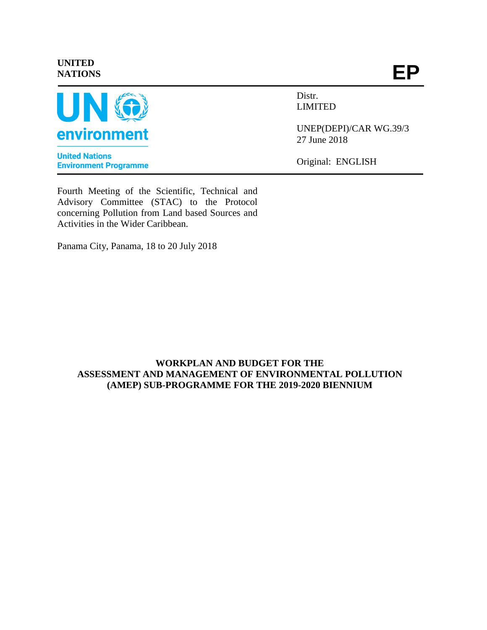# **UNITED NATIONS**



**United Nations Environment Programme**  **EP**

Distr. LIMITED

UNEP(DEPI)/CAR WG.39/3 27 June 2018

Original: ENGLISH

Fourth Meeting of the Scientific, Technical and Advisory Committee (STAC) to the Protocol concerning Pollution from Land based Sources and Activities in the Wider Caribbean.

Panama City, Panama, 18 to 20 July 2018

# **WORKPLAN AND BUDGET FOR THE ASSESSMENT AND MANAGEMENT OF ENVIRONMENTAL POLLUTION (AMEP) SUB-PROGRAMME FOR THE 2019-2020 BIENNIUM**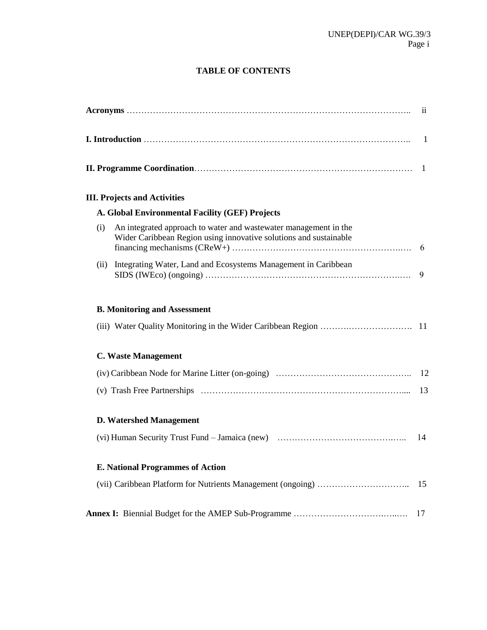# **TABLE OF CONTENTS**

|      | <b>III. Projects and Activities</b>                                                                                                   |    |
|------|---------------------------------------------------------------------------------------------------------------------------------------|----|
|      | A. Global Environmental Facility (GEF) Projects                                                                                       |    |
| (i)  | An integrated approach to water and wastewater management in the<br>Wider Caribbean Region using innovative solutions and sustainable |    |
| (ii) | Integrating Water, Land and Ecosystems Management in Caribbean                                                                        | 9  |
|      | <b>B. Monitoring and Assessment</b>                                                                                                   |    |
|      |                                                                                                                                       |    |
|      | <b>C. Waste Management</b>                                                                                                            |    |
|      |                                                                                                                                       |    |
|      |                                                                                                                                       |    |
|      | <b>D. Watershed Management</b>                                                                                                        |    |
|      |                                                                                                                                       | 14 |
|      | <b>E. National Programmes of Action</b>                                                                                               |    |
|      |                                                                                                                                       | 15 |
|      |                                                                                                                                       | 17 |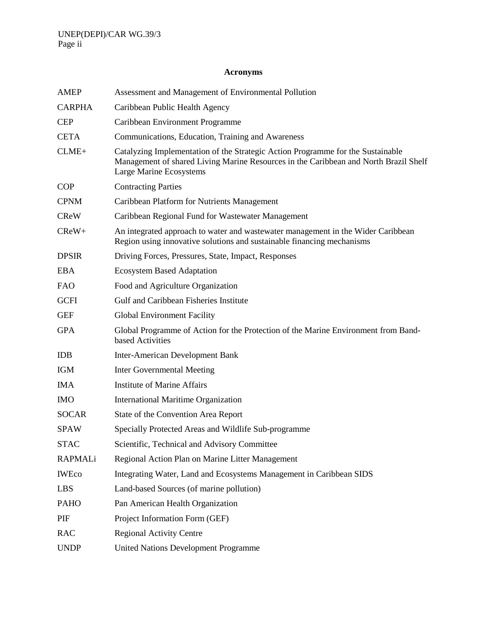# **Acronyms**

| <b>AMEP</b>    | Assessment and Management of Environmental Pollution                                                                                                                                               |
|----------------|----------------------------------------------------------------------------------------------------------------------------------------------------------------------------------------------------|
| <b>CARPHA</b>  | Caribbean Public Health Agency                                                                                                                                                                     |
| <b>CEP</b>     | Caribbean Environment Programme                                                                                                                                                                    |
| <b>CETA</b>    | Communications, Education, Training and Awareness                                                                                                                                                  |
| $CLME+$        | Catalyzing Implementation of the Strategic Action Programme for the Sustainable<br>Management of shared Living Marine Resources in the Caribbean and North Brazil Shelf<br>Large Marine Ecosystems |
| <b>COP</b>     | <b>Contracting Parties</b>                                                                                                                                                                         |
| <b>CPNM</b>    | Caribbean Platform for Nutrients Management                                                                                                                                                        |
| <b>CReW</b>    | Caribbean Regional Fund for Wastewater Management                                                                                                                                                  |
| $C$ $ReW+$     | An integrated approach to water and wastewater management in the Wider Caribbean<br>Region using innovative solutions and sustainable financing mechanisms                                         |
| <b>DPSIR</b>   | Driving Forces, Pressures, State, Impact, Responses                                                                                                                                                |
| <b>EBA</b>     | <b>Ecosystem Based Adaptation</b>                                                                                                                                                                  |
| <b>FAO</b>     | Food and Agriculture Organization                                                                                                                                                                  |
| <b>GCFI</b>    | Gulf and Caribbean Fisheries Institute                                                                                                                                                             |
| <b>GEF</b>     | <b>Global Environment Facility</b>                                                                                                                                                                 |
| <b>GPA</b>     | Global Programme of Action for the Protection of the Marine Environment from Band-<br>based Activities                                                                                             |
| <b>IDB</b>     | Inter-American Development Bank                                                                                                                                                                    |
| <b>IGM</b>     | <b>Inter Governmental Meeting</b>                                                                                                                                                                  |
| <b>IMA</b>     | <b>Institute of Marine Affairs</b>                                                                                                                                                                 |
| <b>IMO</b>     | <b>International Maritime Organization</b>                                                                                                                                                         |
| <b>SOCAR</b>   | State of the Convention Area Report                                                                                                                                                                |
| <b>SPAW</b>    | Specially Protected Areas and Wildlife Sub-programme                                                                                                                                               |
| STAC           | Scientific, Technical and Advisory Committee                                                                                                                                                       |
| <b>RAPMALi</b> | Regional Action Plan on Marine Litter Management                                                                                                                                                   |
| <b>IWEco</b>   | Integrating Water, Land and Ecosystems Management in Caribbean SIDS                                                                                                                                |
| <b>LBS</b>     | Land-based Sources (of marine pollution)                                                                                                                                                           |
| <b>PAHO</b>    | Pan American Health Organization                                                                                                                                                                   |
| PIF            | Project Information Form (GEF)                                                                                                                                                                     |
| <b>RAC</b>     | <b>Regional Activity Centre</b>                                                                                                                                                                    |
| <b>UNDP</b>    | <b>United Nations Development Programme</b>                                                                                                                                                        |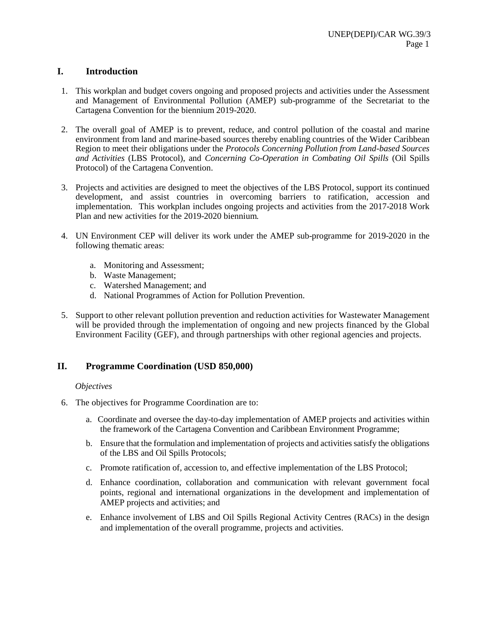# **I. Introduction**

- 1. This workplan and budget covers ongoing and proposed projects and activities under the Assessment and Management of Environmental Pollution (AMEP) sub-programme of the Secretariat to the Cartagena Convention for the biennium 2019-2020.
- 2. The overall goal of AMEP is to prevent, reduce, and control pollution of the coastal and marine environment from land and marine-based sources thereby enabling countries of the Wider Caribbean Region to meet their obligations under the *Protocols Concerning Pollution from Land-based Sources and Activities* (LBS Protocol), and *Concerning Co-Operation in Combating Oil Spills* (Oil Spills Protocol) of the Cartagena Convention.
- 3. Projects and activities are designed to meet the objectives of the LBS Protocol, support its continued development, and assist countries in overcoming barriers to ratification, accession and implementation. This workplan includes ongoing projects and activities from the 2017-2018 Work Plan and new activities for the 2019-2020 biennium.
- 4. UN Environment CEP will deliver its work under the AMEP sub-programme for 2019-2020 in the following thematic areas:
	- a. Monitoring and Assessment;
	- b. Waste Management;
	- c. Watershed Management; and
	- d. National Programmes of Action for Pollution Prevention.
- 5. Support to other relevant pollution prevention and reduction activities for Wastewater Management will be provided through the implementation of ongoing and new projects financed by the Global Environment Facility (GEF), and through partnerships with other regional agencies and projects.

# **II. Programme Coordination (USD 850,000)**

#### *Objectives*

- 6. The objectives for Programme Coordination are to:
	- a. Coordinate and oversee the day-to-day implementation of AMEP projects and activities within the framework of the Cartagena Convention and Caribbean Environment Programme;
	- b. Ensure that the formulation and implementation of projects and activities satisfy the obligations of the LBS and Oil Spills Protocols;
	- c. Promote ratification of, accession to, and effective implementation of the LBS Protocol;
	- d. Enhance coordination, collaboration and communication with relevant government focal points, regional and international organizations in the development and implementation of AMEP projects and activities; and
	- e. Enhance involvement of LBS and Oil Spills Regional Activity Centres (RACs) in the design and implementation of the overall programme, projects and activities.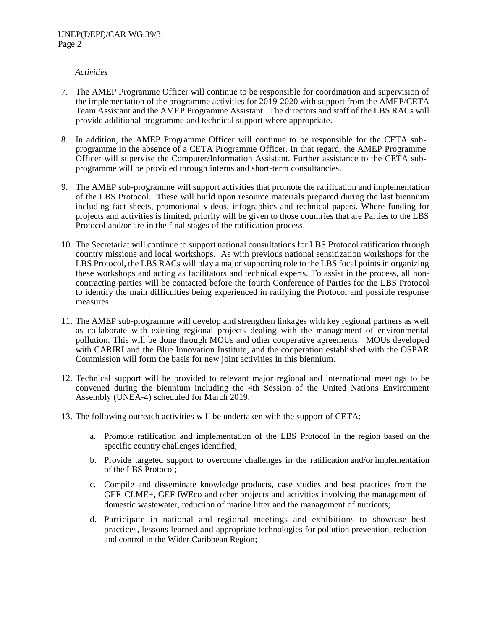- 7. The AMEP Programme Officer will continue to be responsible for coordination and supervision of the implementation of the programme activities for 2019-2020 with support from the AMEP/CETA Team Assistant and the AMEP Programme Assistant. The directors and staff of the LBS RACs will provide additional programme and technical support where appropriate.
- 8. In addition, the AMEP Programme Officer will continue to be responsible for the CETA subprogramme in the absence of a CETA Programme Officer. In that regard, the AMEP Programme Officer will supervise the Computer/Information Assistant. Further assistance to the CETA subprogramme will be provided through interns and short-term consultancies.
- 9. The AMEP sub-programme will support activities that promote the ratification and implementation of the LBS Protocol. These will build upon resource materials prepared during the last biennium including fact sheets, promotional videos, infographics and technical papers. Where funding for projects and activities is limited, priority will be given to those countries that are Parties to the LBS Protocol and/or are in the final stages of the ratification process.
- 10. The Secretariat will continue to support national consultations for LBS Protocol ratification through country missions and local workshops. As with previous national sensitization workshops for the LBS Protocol, the LBS RACs will play a major supporting role to the LBS focal points in organizing these workshops and acting as facilitators and technical experts. To assist in the process, all noncontracting parties will be contacted before the fourth Conference of Parties for the LBS Protocol to identify the main difficulties being experienced in ratifying the Protocol and possible response measures.
- 11. The AMEP sub-programme will develop and strengthen linkages with key regional partners as well as collaborate with existing regional projects dealing with the management of environmental pollution. This will be done through MOUs and other cooperative agreements. MOUs developed with CARIRI and the Blue Innovation Institute, and the cooperation established with the OSPAR Commission will form the basis for new joint activities in this biennium.
- 12. Technical support will be provided to relevant major regional and international meetings to be convened during the biennium including the 4th Session of the United Nations Environment Assembly (UNEA-4) scheduled for March 2019.
- 13. The following outreach activities will be undertaken with the support of CETA:
	- a. Promote ratification and implementation of the LBS Protocol in the region based on the specific country challenges identified;
	- b. Provide targeted support to overcome challenges in the ratification and/or implementation of the LBS Protocol;
	- c. Compile and disseminate knowledge products, case studies and best practices from the GEF CLME+, GEF IWEco and other projects and activities involving the management of domestic wastewater, reduction of marine litter and the management of nutrients;
	- d. Participate in national and regional meetings and exhibitions to showcase best practices, lessons learned and appropriate technologies for pollution prevention, reduction and control in the Wider Caribbean Region;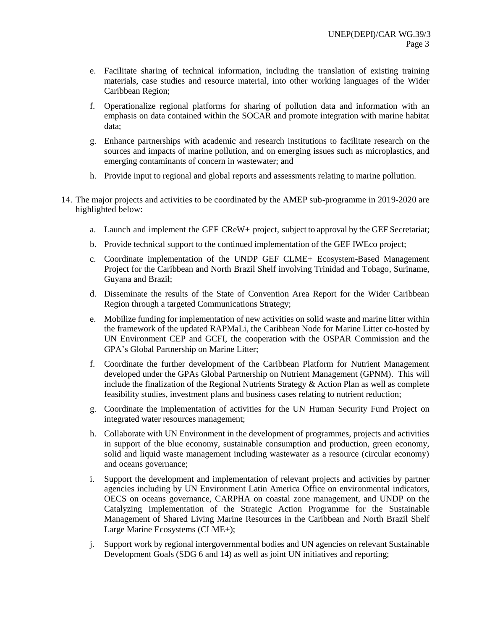- e. Facilitate sharing of technical information, including the translation of existing training materials, case studies and resource material, into other working languages of the Wider Caribbean Region;
- f. Operationalize regional platforms for sharing of pollution data and information with an emphasis on data contained within the SOCAR and promote integration with marine habitat data;
- g. Enhance partnerships with academic and research institutions to facilitate research on the sources and impacts of marine pollution, and on emerging issues such as microplastics, and emerging contaminants of concern in wastewater; and
- h. Provide input to regional and global reports and assessments relating to marine pollution.
- 14. The major projects and activities to be coordinated by the AMEP sub-programme in 2019-2020 are highlighted below:
	- a. Launch and implement the GEF CReW+ project, subject to approval by the GEF Secretariat;
	- b. Provide technical support to the continued implementation of the GEF IWEco project;
	- c. Coordinate implementation of the UNDP GEF CLME+ Ecosystem-Based Management Project for the Caribbean and North Brazil Shelf involving Trinidad and Tobago, Suriname, Guyana and Brazil;
	- d. Disseminate the results of the State of Convention Area Report for the Wider Caribbean Region through a targeted Communications Strategy;
	- e. Mobilize funding for implementation of new activities on solid waste and marine litter within the framework of the updated RAPMaLi, the Caribbean Node for Marine Litter co-hosted by UN Environment CEP and GCFI, the cooperation with the OSPAR Commission and the GPA's Global Partnership on Marine Litter;
	- f. Coordinate the further development of the Caribbean Platform for Nutrient Management developed under the GPAs Global Partnership on Nutrient Management (GPNM). This will include the finalization of the Regional Nutrients Strategy  $\&$  Action Plan as well as complete feasibility studies, investment plans and business cases relating to nutrient reduction;
	- g. Coordinate the implementation of activities for the UN Human Security Fund Project on integrated water resources management;
	- h. Collaborate with UN Environment in the development of programmes, projects and activities in support of the blue economy, sustainable consumption and production, green economy, solid and liquid waste management including wastewater as a resource (circular economy) and oceans governance;
	- i. Support the development and implementation of relevant projects and activities by partner agencies including by UN Environment Latin America Office on environmental indicators, OECS on oceans governance, CARPHA on coastal zone management, and UNDP on the Catalyzing Implementation of the Strategic Action Programme for the Sustainable Management of Shared Living Marine Resources in the Caribbean and North Brazil Shelf Large Marine Ecosystems (CLME+);
	- j. Support work by regional intergovernmental bodies and UN agencies on relevant Sustainable Development Goals (SDG 6 and 14) as well as joint UN initiatives and reporting;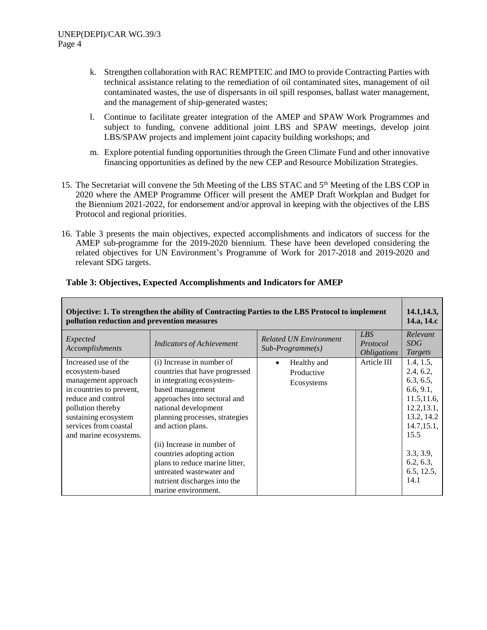- k. Strengthen collaboration with RAC REMPTEIC and IMO to provide Contracting Parties with technical assistance relating to the remediation of oil contaminated sites, management of oil contaminated wastes, the use of dispersants in oil spill responses, ballast water management, and the management of ship-generated wastes;
- l. Continue to facilitate greater integration of the AMEP and SPAW Work Programmes and subject to funding, convene additional joint LBS and SPAW meetings, develop joint LBS/SPAW projects and implement joint capacity building workshops; and
- m. Explore potential funding opportunities through the Green Climate Fund and other innovative financing opportunities as defined by the new CEP and Resource Mobilization Strategies.
- 15. The Secretariat will convene the 5th Meeting of the LBS STAC and 5<sup>th</sup> Meeting of the LBS COP in 2020 where the AMEP Programme Officer will present the AMEP Draft Workplan and Budget for the Biennium 2021-2022, for endorsement and/or approval in keeping with the objectives of the LBS Protocol and regional priorities.
- 16. Table 3 presents the main objectives, expected accomplishments and indicators of success for the AMEP sub-programme for the 2019-2020 biennium. These have been developed considering the related objectives for UN Environment's Programme of Work for 2017-2018 and 2019-2020 and relevant SDG targets.

| Objective: 1. To strengthen the ability of Contracting Parties to the LBS Protocol to implement<br>pollution reduction and prevention measures                                                                   |                                                                                                                                                                                                                                                                                                                                                                                                             |                                                     |                                              |                                                                                                                                                                     |
|------------------------------------------------------------------------------------------------------------------------------------------------------------------------------------------------------------------|-------------------------------------------------------------------------------------------------------------------------------------------------------------------------------------------------------------------------------------------------------------------------------------------------------------------------------------------------------------------------------------------------------------|-----------------------------------------------------|----------------------------------------------|---------------------------------------------------------------------------------------------------------------------------------------------------------------------|
| Expected<br>Accomplishments                                                                                                                                                                                      | <b>Indicators of Achievement</b>                                                                                                                                                                                                                                                                                                                                                                            | <b>Related UN Environment</b><br>$Sub-Programme(s)$ | LBS<br>Protocol<br><i><b>Obligations</b></i> | Relevant<br><i>SDG</i><br><b>Targets</b>                                                                                                                            |
| Increased use of the<br>ecosystem-based<br>management approach<br>in countries to prevent,<br>reduce and control<br>pollution thereby<br>sustaining ecosystem<br>services from coastal<br>and marine ecosystems. | (i) Increase in number of<br>countries that have progressed<br>in integrating ecosystem-<br>based management<br>approaches into sectoral and<br>national development<br>planning processes, strategies<br>and action plans.<br>(ii) Increase in number of<br>countries adopting action<br>plans to reduce marine litter,<br>untreated wastewater and<br>nutrient discharges into the<br>marine environment. | Healthy and<br>٠<br>Productive<br>Ecosystems        | Article III                                  | 1.4, 1.5,<br>2.4, 6.2,<br>6.3, 6.5,<br>6.6, 9.1,<br>11.5, 11.6,<br>12.2, 13.1,<br>13.2, 14.2<br>14.7, 15.1,<br>15.5<br>3.3, 3.9,<br>6.2, 6.3,<br>6.5, 12.5,<br>14.1 |

# **Table 3: Objectives, Expected Accomplishments and Indicators for AMEP**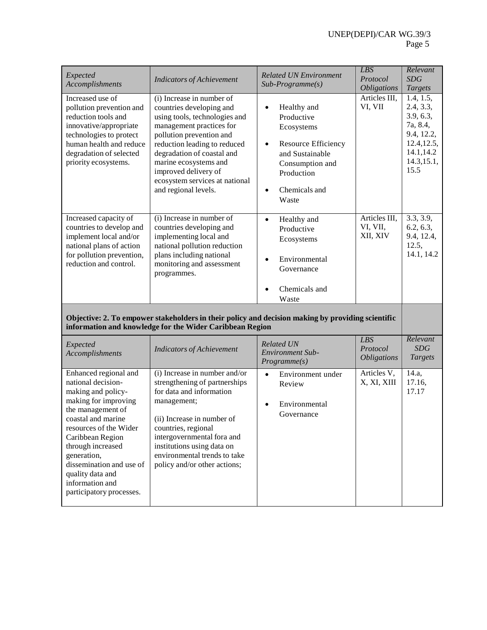| Expected<br>Accomplishments                                                                                                                                                                                                                                                                                           | <b>Indicators of Achievement</b>                                                                                                                                                                                                                                                                                        | <b>Related UN Environment</b><br>$Sub-Programme(s)$                                                                                                                                 | LBS<br>Protocol<br><i><b>Obligations</b></i> | Relevant<br><b>SDG</b><br><b>Targets</b>                                                                         |
|-----------------------------------------------------------------------------------------------------------------------------------------------------------------------------------------------------------------------------------------------------------------------------------------------------------------------|-------------------------------------------------------------------------------------------------------------------------------------------------------------------------------------------------------------------------------------------------------------------------------------------------------------------------|-------------------------------------------------------------------------------------------------------------------------------------------------------------------------------------|----------------------------------------------|------------------------------------------------------------------------------------------------------------------|
| Increased use of<br>pollution prevention and<br>reduction tools and<br>innovative/appropriate<br>technologies to protect<br>human health and reduce<br>degradation of selected<br>priority ecosystems.                                                                                                                | (i) Increase in number of<br>countries developing and<br>using tools, technologies and<br>management practices for<br>pollution prevention and<br>reduction leading to reduced<br>degradation of coastal and<br>marine ecosystems and<br>improved delivery of<br>ecosystem services at national<br>and regional levels. | Healthy and<br>$\bullet$<br>Productive<br>Ecosystems<br>Resource Efficiency<br>$\bullet$<br>and Sustainable<br>Consumption and<br>Production<br>Chemicals and<br>$\bullet$<br>Waste | Articles III,<br>VI, VII                     | 1.4, 1.5,<br>2.4, 3.3,<br>3.9, 6.3,<br>7a, 8.4,<br>9.4, 12.2,<br>12.4, 12.5,<br>14.1,14.2<br>14.3, 15.1,<br>15.5 |
| Increased capacity of<br>countries to develop and<br>implement local and/or<br>national plans of action<br>for pollution prevention,<br>reduction and control.                                                                                                                                                        | (i) Increase in number of<br>countries developing and<br>implementing local and<br>national pollution reduction<br>plans including national<br>monitoring and assessment<br>programmes.                                                                                                                                 | Healthy and<br>$\bullet$<br>Productive<br>Ecosystems<br>Environmental<br>$\bullet$<br>Governance<br>Chemicals and<br>Waste                                                          | Articles III,<br>VI, VII,<br>XII, XIV        | 3.3, 3.9,<br>6.2, 6.3,<br>9.4, 12.4,<br>12.5,<br>14.1, 14.2                                                      |
|                                                                                                                                                                                                                                                                                                                       | Objective: 2. To empower stakeholders in their policy and decision making by providing scientific<br>information and knowledge for the Wider Caribbean Region                                                                                                                                                           |                                                                                                                                                                                     |                                              |                                                                                                                  |
| Expected<br>Accomplishments                                                                                                                                                                                                                                                                                           | <b>Indicators of Achievement</b>                                                                                                                                                                                                                                                                                        | <b>Related UN</b><br><b>Environment Sub-</b><br>Programme(s)                                                                                                                        | <b>LBS</b><br>Protocol<br><b>Obligations</b> | Relevant<br>SDG<br><b>Targets</b>                                                                                |
| Enhanced regional and<br>national decision-<br>making and policy-<br>making for improving<br>the management of<br>coastal and marine<br>resources of the Wider<br>Caribbean Region<br>through increased<br>generation,<br>dissemination and use of<br>quality data and<br>information and<br>participatory processes. | (i) Increase in number and/or<br>strengthening of partnerships<br>for data and information<br>management;<br>(ii) Increase in number of<br>countries, regional<br>intergovernmental fora and<br>institutions using data on<br>environmental trends to take<br>policy and/or other actions;                              | Environment under<br>$\bullet$<br>Review<br>Environmental<br>$\bullet$<br>Governance                                                                                                | Articles V,<br>X, XI, XIII                   | 14.a,<br>17.16,<br>17.17                                                                                         |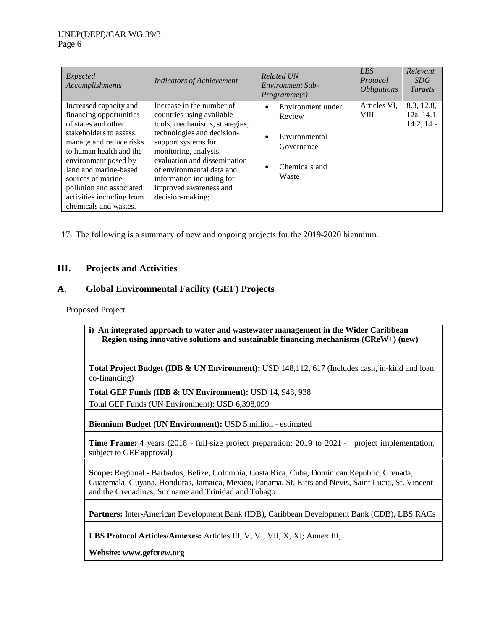| Expected<br>Accomplishments                                                                                                                                                                                                                                                                                       | <b>Indicators of Achievement</b>                                                                                                                                                                                                                                                                               | <b>Related UN</b><br>Environment Sub-<br>Programme(s)                                                          | LBS <sub>1</sub><br>Protocol<br><i>Obligations</i> | Relevant<br>SDG<br>Targets             |
|-------------------------------------------------------------------------------------------------------------------------------------------------------------------------------------------------------------------------------------------------------------------------------------------------------------------|----------------------------------------------------------------------------------------------------------------------------------------------------------------------------------------------------------------------------------------------------------------------------------------------------------------|----------------------------------------------------------------------------------------------------------------|----------------------------------------------------|----------------------------------------|
| Increased capacity and<br>financing opportunities<br>of states and other<br>stakeholders to assess.<br>manage and reduce risks<br>to human health and the<br>environment posed by<br>land and marine-based<br>sources of marine<br>pollution and associated<br>activities including from<br>chemicals and wastes. | Increase in the number of<br>countries using available<br>tools, mechanisms, strategies,<br>technologies and decision-<br>support systems for<br>monitoring, analysis,<br>evaluation and dissemination<br>of environmental data and<br>information including for<br>improved awareness and<br>decision-making; | Environment under<br>$\bullet$<br>Review<br>Environmental<br>$\bullet$<br>Governance<br>Chemicals and<br>Waste | Articles VI,<br><b>VIII</b>                        | 8.3, 12.8,<br>12a, 14.1,<br>14.2, 14.a |

17. The following is a summary of new and ongoing projects for the 2019-2020 biennium.

# **III. Projects and Activities**

# **A. Global Environmental Facility (GEF) Projects**

Proposed Project

**i) An integrated approach to water and wastewater management in the Wider Caribbean Region using innovative solutions and sustainable financing mechanisms (CReW+) (new)**

**Total Project Budget (IDB & UN Environment):** USD 148,112, 617 (Includes cash, in-kind and loan co-financing)

**Total GEF Funds (IDB & UN Environment):** USD 14, 943, 938

Total GEF Funds (UN Environment): USD 6,398,099

**Biennium Budget (UN Environment):** USD 5 million - estimated

**Time Frame:** 4 years (2018 - full-size project preparation; 2019 to 2021 - project implementation, subject to GEF approval)

**Scope:** Regional - Barbados, Belize, Colombia, Costa Rica, Cuba, Dominican Republic, Grenada, Guatemala, Guyana, Honduras, Jamaica, Mexico, Panama, St. Kitts and Nevis, Saint Lucia, St. Vincent and the Grenadines, Suriname and Trinidad and Tobago

**Partners:** Inter-American Development Bank (IDB), Caribbean Development Bank (CDB), LBS RACs

**LBS Protocol Articles/Annexes:** Articles III, V, VI, VII, X, XI; Annex III;

**Website: [www.gefcrew.org](http://www.gefcrew.org/)**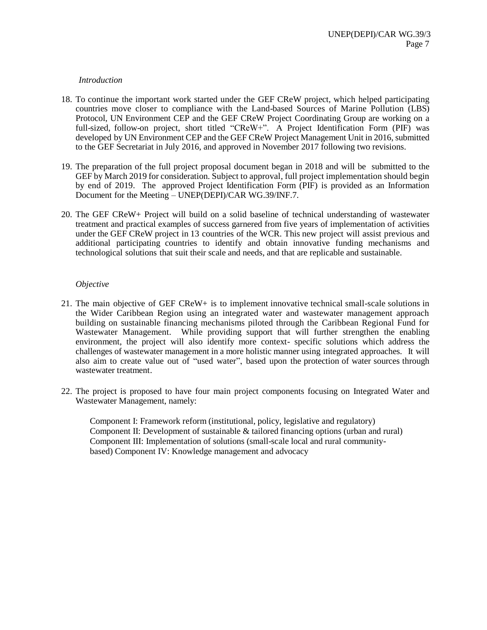#### *Introduction*

- 18. To continue the important work started under the GEF CReW project, which helped participating countries move closer to compliance with the Land-based Sources of Marine Pollution (LBS) Protocol, UN Environment CEP and the GEF CReW Project Coordinating Group are working on a full-sized, follow-on project, short titled "CReW+". A Project Identification Form (PIF) was developed by UN Environment CEP and the GEF CReW Project Management Unit in 2016, submitted to the GEF Secretariat in July 2016, and approved in November 2017 following two revisions.
- 19. The preparation of the full project proposal document began in 2018 and will be submitted to the GEF by March 2019 for consideration. Subject to approval, full project implementation should begin by end of 2019. The approved Project Identification Form (PIF) is provided as an Information Document for the Meeting – UNEP(DEPI)/CAR WG.39/INF.7.
- 20. The GEF CReW+ Project will build on a solid baseline of technical understanding of wastewater treatment and practical examples of success garnered from five years of implementation of activities under the GEF CReW project in 13 countries of the WCR. This new project will assist previous and additional participating countries to identify and obtain innovative funding mechanisms and technological solutions that suit their scale and needs, and that are replicable and sustainable.

#### *Objective*

- 21. The main objective of GEF CReW+ is to implement innovative technical small-scale solutions in the Wider Caribbean Region using an integrated water and wastewater management approach building on sustainable financing mechanisms piloted through the Caribbean Regional Fund for Wastewater Management. While providing support that will further strengthen the enabling environment, the project will also identify more context- specific solutions which address the challenges of wastewater management in a more holistic manner using integrated approaches. It will also aim to create value out of "used water", based upon the protection of water sources through wastewater treatment.
- 22. The project is proposed to have four main project components focusing on Integrated Water and Wastewater Management, namely:

Component I: Framework reform (institutional, policy, legislative and regulatory) Component II: Development of sustainable & tailored financing options (urban and rural) Component III: Implementation of solutions (small-scale local and rural communitybased) Component IV: Knowledge management and advocacy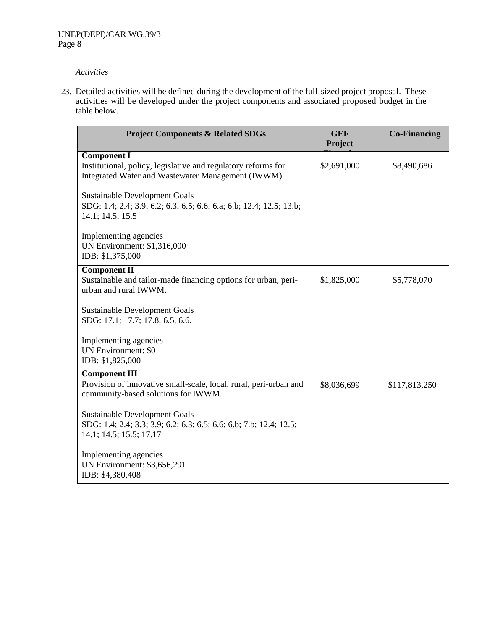23. Detailed activities will be defined during the development of the full-sized project proposal. These activities will be developed under the project components and associated proposed budget in the table below.

| <b>Project Components &amp; Related SDGs</b>                                                                                              | <b>GEF</b><br><b>Project</b> | <b>Co-Financing</b> |
|-------------------------------------------------------------------------------------------------------------------------------------------|------------------------------|---------------------|
| <b>Component I</b><br>Institutional, policy, legislative and regulatory reforms for<br>Integrated Water and Wastewater Management (IWWM). | \$2,691,000                  | \$8,490,686         |
| <b>Sustainable Development Goals</b><br>SDG: 1.4; 2.4; 3.9; 6.2; 6.3; 6.5; 6.6; 6.a; 6.b; 12.4; 12.5; 13.b;<br>14.1; 14.5; 15.5           |                              |                     |
| Implementing agencies<br><b>UN Environment: \$1,316,000</b><br>IDB: \$1,375,000                                                           |                              |                     |
| <b>Component II</b><br>Sustainable and tailor-made financing options for urban, peri-<br>urban and rural IWWM.                            | \$1,825,000                  | \$5,778,070         |
| <b>Sustainable Development Goals</b><br>SDG: 17.1; 17.7; 17.8, 6.5, 6.6.                                                                  |                              |                     |
| Implementing agencies<br><b>UN Environment: \$0</b><br>IDB: \$1,825,000                                                                   |                              |                     |
| <b>Component III</b><br>Provision of innovative small-scale, local, rural, peri-urban and<br>community-based solutions for IWWM.          | \$8,036,699                  | \$117,813,250       |
| <b>Sustainable Development Goals</b><br>SDG: 1.4; 2.4; 3.3; 3.9; 6.2; 6.3; 6.5; 6.6; 6.b; 7.b; 12.4; 12.5;<br>14.1; 14.5; 15.5; 17.17     |                              |                     |
| Implementing agencies<br>UN Environment: \$3,656,291<br>IDB: \$4,380,408                                                                  |                              |                     |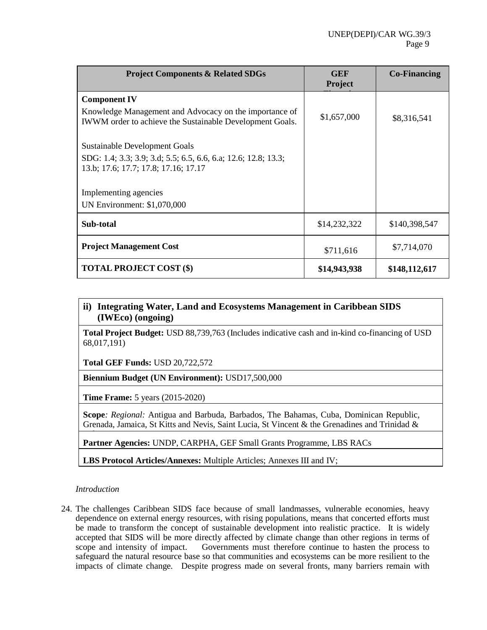| <b>Project Components &amp; Related SDGs</b>                                                                       | <b>GEF</b><br><b>Project</b> | <b>Co-Financing</b> |
|--------------------------------------------------------------------------------------------------------------------|------------------------------|---------------------|
| <b>Component IV</b>                                                                                                |                              |                     |
| Knowledge Management and Advocacy on the importance of<br>IWWM order to achieve the Sustainable Development Goals. | \$1,657,000                  | \$8,316,541         |
| <b>Sustainable Development Goals</b>                                                                               |                              |                     |
| SDG: 1.4; 3.3; 3.9; 3.d; 5.5; 6.5, 6.6, 6.a; 12.6; 12.8; 13.3;<br>13.b; 17.6; 17.7; 17.8; 17.16; 17.17             |                              |                     |
| Implementing agencies                                                                                              |                              |                     |
| UN Environment: \$1,070,000                                                                                        |                              |                     |
| Sub-total                                                                                                          | \$14,232,322                 | \$140,398,547       |
| <b>Project Management Cost</b>                                                                                     | \$711,616                    | \$7,714,070         |
| <b>TOTAL PROJECT COST (\$)</b>                                                                                     | \$14,943,938                 | \$148,112,617       |
|                                                                                                                    |                              |                     |

# **ii) Integrating Water, Land and Ecosystems Management in Caribbean SIDS (IWEco) (ongoing)**

**Total Project Budget:** USD 88,739,763 (Includes indicative cash and in-kind co-financing of USD 68,017,191)

**Total GEF Funds:** USD 20,722,572

**Biennium Budget (UN Environment):** USD17,500,000

**Time Frame:** 5 years (2015-2020)

**Scope***: Regional:* Antigua and Barbuda, Barbados, The Bahamas, Cuba, Dominican Republic, Grenada, Jamaica, St Kitts and Nevis, Saint Lucia, St Vincent & the Grenadines and Trinidad &

Tobago **Partner Agencies:** UNDP, CARPHA, GEF Small Grants Programme, LBS RACs

**LBS Protocol Articles/Annexes:** Multiple Articles; Annexes III and IV;

*Introduction*

24. The challenges Caribbean SIDS face because of small landmasses, vulnerable economies, heavy dependence on external energy resources, with rising populations, means that concerted efforts must be made to transform the concept of sustainable development into realistic practice. It is widely accepted that SIDS will be more directly affected by climate change than other regions in terms of scope and intensity of impact. Governments must therefore continue to hasten the process to safeguard the natural resource base so that communities and ecosystems can be more resilient to the impacts of climate change. Despite progress made on several fronts, many barriers remain with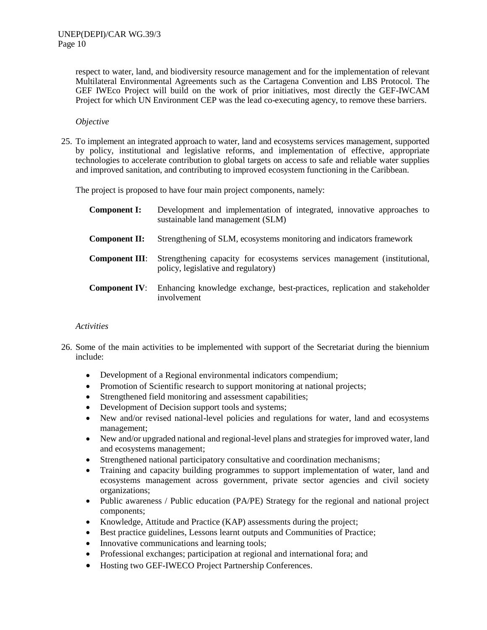respect to water, land, and biodiversity resource management and for the implementation of relevant Multilateral Environmental Agreements such as the Cartagena Convention and LBS Protocol. The GEF IWEco Project will build on the work of prior initiatives, most directly the GEF-IWCAM Project for which UN Environment CEP was the lead co-executing agency, to remove these barriers.

#### *Objective*

25. To implement an integrated approach to water, land and ecosystems services management, supported by policy, institutional and legislative reforms, and implementation of effective, appropriate technologies to accelerate contribution to global targets on access to safe and reliable water supplies and improved sanitation, and contributing to improved ecosystem functioning in the Caribbean.

The project is proposed to have four main project components, namely:

| <b>Component I:</b>   | Development and implementation of integrated, innovative approaches to<br>sustainable land management (SLM)      |
|-----------------------|------------------------------------------------------------------------------------------------------------------|
| Component II:         | Strengthening of SLM, ecosystems monitoring and indicators framework                                             |
| <b>Component III:</b> | Strengthening capacity for ecosystems services management (institutional,<br>policy, legislative and regulatory) |
| <b>Component IV:</b>  | Enhancing knowledge exchange, best-practices, replication and stakeholder<br>involvement                         |

- 26. Some of the main activities to be implemented with support of the Secretariat during the biennium include:
	- Development of a Regional environmental indicators compendium;
	- Promotion of Scientific research to support monitoring at national projects;
	- Strengthened field monitoring and assessment capabilities;
	- Development of Decision support tools and systems;
	- New and/or revised national-level policies and regulations for water, land and ecosystems management;
	- New and/or upgraded national and regional-level plans and strategies for improved water, land and ecosystems management;
	- Strengthened national participatory consultative and coordination mechanisms;
	- Training and capacity building programmes to support implementation of water, land and ecosystems management across government, private sector agencies and civil society organizations;
	- Public awareness / Public education (PA/PE) Strategy for the regional and national project components;
	- Knowledge, Attitude and Practice (KAP) assessments during the project;
	- Best practice guidelines, Lessons learnt outputs and Communities of Practice;
	- Innovative communications and learning tools;
	- Professional exchanges; participation at regional and international fora; and
	- Hosting two GEF-IWECO Project Partnership Conferences.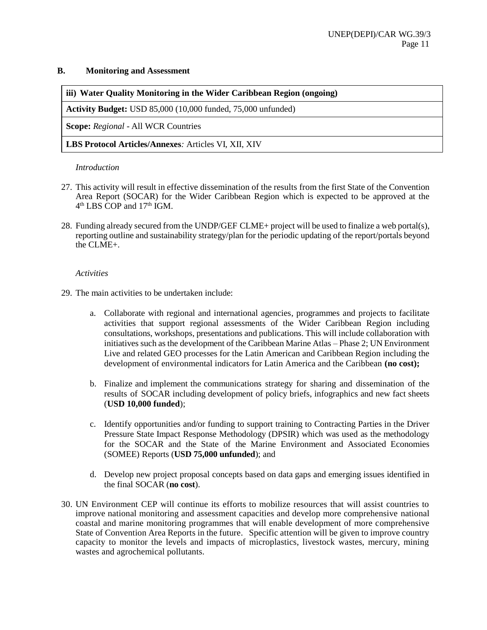#### **B. Monitoring and Assessment**

# **iii) Water Quality Monitoring in the Wider Caribbean Region (ongoing)**

**Activity Budget:** USD 85,000 (10,000 funded, 75,000 unfunded)

**Scope:** *Regional* - All WCR Countries

**LBS Protocol Articles/Annexes***:* Articles VI, XII, XIV

#### *Introduction*

- 27. This activity will result in effective dissemination of the results from the first State of the Convention Area Report (SOCAR) for the Wider Caribbean Region which is expected to be approved at the 4<sup>th</sup> LBS COP and 17<sup>th</sup> IGM.
- 28. Funding already secured from the UNDP/GEF CLME+ project will be used to finalize a web portal(s), reporting outline and sustainability strategy/plan for the periodic updating of the report/portals beyond the CLME+.

- 29. The main activities to be undertaken include:
	- a. Collaborate with regional and international agencies, programmes and projects to facilitate activities that support regional assessments of the Wider Caribbean Region including consultations, workshops, presentations and publications. This will include collaboration with initiatives such as the development of the Caribbean Marine Atlas – Phase 2; UN Environment Live and related GEO processes for the Latin American and Caribbean Region including the development of environmental indicators for Latin America and the Caribbean **(no cost);**
	- b. Finalize and implement the communications strategy for sharing and dissemination of the results of SOCAR including development of policy briefs, infographics and new fact sheets (**USD 10,000 funded**);
	- c. Identify opportunities and/or funding to support training to Contracting Parties in the Driver Pressure State Impact Response Methodology (DPSIR) which was used as the methodology for the SOCAR and the State of the Marine Environment and Associated Economies (SOMEE) Reports (**USD 75,000 unfunded**); and
	- d. Develop new project proposal concepts based on data gaps and emerging issues identified in the final SOCAR (**no cost**).
- 30. UN Environment CEP will continue its efforts to mobilize resources that will assist countries to improve national monitoring and assessment capacities and develop more comprehensive national coastal and marine monitoring programmes that will enable development of more comprehensive State of Convention Area Reports in the future. Specific attention will be given to improve country capacity to monitor the levels and impacts of microplastics, livestock wastes, mercury, mining wastes and agrochemical pollutants.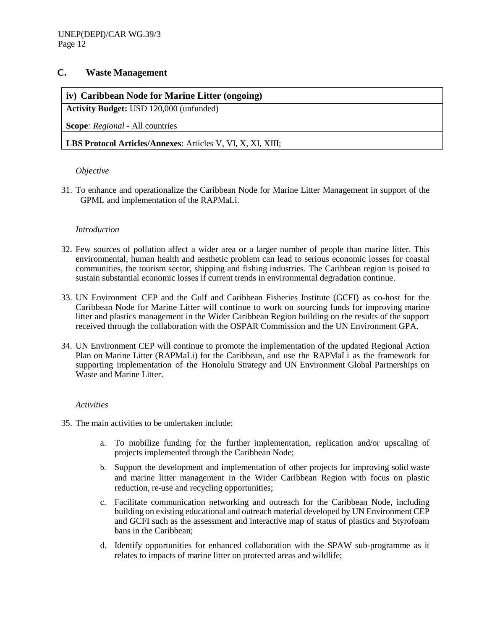# **C. Waste Management**

# **iv) Caribbean Node for Marine Litter (ongoing)**

**Activity Budget:** USD 120,000 (unfunded)

**Scope***: Regional -* All countries

## **LBS Protocol Articles/Annexes**: Articles V, VI, X, XI, XIII;

#### *Objective*

31. To enhance and operationalize the Caribbean Node for Marine Litter Management in support of the GPML and implementation of the RAPMaLi.

#### *Introduction*

- 32. Few sources of pollution affect a wider area or a larger number of people than marine litter. This environmental, human health and aesthetic problem can lead to serious economic losses for coastal communities, the tourism sector, shipping and fishing industries. The Caribbean region is poised to sustain substantial economic losses if current trends in environmental degradation continue.
- 33. UN Environment CEP and the Gulf and Caribbean Fisheries Institute (GCFI) as co-host for the Caribbean Node for Marine Litter will continue to work on sourcing funds for improving marine litter and plastics management in the Wider Caribbean Region building on the results of the support received through the collaboration with the OSPAR Commission and the UN Environment GPA.
- 34. UN Environment CEP will continue to promote the implementation of the updated Regional Action Plan on Marine Litter (RAPMaLi) for the Caribbean, and use the RAPMaLi as the framework for supporting implementation of the Honolulu Strategy and UN Environment Global Partnerships on Waste and Marine Litter.

- 35. The main activities to be undertaken include:
	- a. To mobilize funding for the further implementation, replication and/or upscaling of projects implemented through the Caribbean Node;
	- b. Support the development and implementation of other projects for improving solid waste and marine litter management in the Wider Caribbean Region with focus on plastic reduction, re-use and recycling opportunities;
	- c. Facilitate communication networking and outreach for the Caribbean Node, including building on existing educational and outreach material developed by UN Environment CEP and GCFI such as the assessment and interactive map of status of plastics and Styrofoam bans in the Caribbean;
	- d. Identify opportunities for enhanced collaboration with the SPAW sub-programme as it relates to impacts of marine litter on protected areas and wildlife;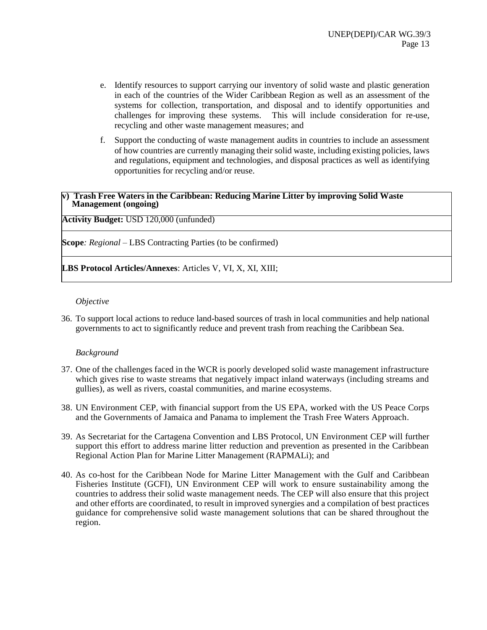- e. Identify resources to support carrying our inventory of solid waste and plastic generation in each of the countries of the Wider Caribbean Region as well as an assessment of the systems for collection, transportation, and disposal and to identify opportunities and challenges for improving these systems. This will include consideration for re-use, recycling and other waste management measures; and
- f. Support the conducting of waste management audits in countries to include an assessment of how countries are currently managing their solid waste, including existing policies, laws and regulations, equipment and technologies, and disposal practices as well as identifying opportunities for recycling and/or reuse.

#### **v) Trash Free Waters in the Caribbean: Reducing Marine Litter by improving Solid Waste Management (ongoing)**

**Activity Budget:** USD 120,000 (unfunded)

**Scope***: Regional –* LBS Contracting Parties (to be confirmed)

**LBS Protocol Articles/Annexes**: Articles V, VI, X, XI, XIII;

#### *Objective*

36. To support local actions to reduce land-based sources of trash in local communities and help national governments to act to significantly reduce and prevent trash from reaching the Caribbean Sea.

#### *Background*

- 37. One of the challenges faced in the WCR is poorly developed solid waste management infrastructure which gives rise to waste streams that negatively impact inland waterways (including streams and gullies), as well as rivers, coastal communities, and marine ecosystems.
- 38. UN Environment CEP, with financial support from the US EPA, worked with the US Peace Corps and the Governments of Jamaica and Panama to implement the Trash Free Waters Approach.
- 39. As Secretariat for the Cartagena Convention and LBS Protocol, UN Environment CEP will further support this effort to address marine litter reduction and prevention as presented in the Caribbean Regional Action Plan for Marine Litter Management (RAPMALi); and
- 40. As co-host for the Caribbean Node for Marine Litter Management with the Gulf and Caribbean Fisheries Institute (GCFI), UN Environment CEP will work to ensure sustainability among the countries to address their solid waste management needs. The CEP will also ensure that this project and other efforts are coordinated, to result in improved synergies and a compilation of best practices guidance for comprehensive solid waste management solutions that can be shared throughout the region.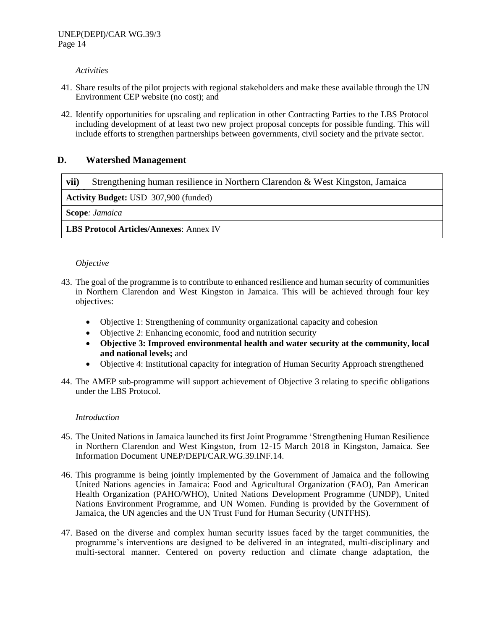- 41. Share results of the pilot projects with regional stakeholders and make these available through the UN Environment CEP website (no cost); and
- 42. Identify opportunities for upscaling and replication in other Contracting Parties to the LBS Protocol including development of at least two new project proposal concepts for possible funding. This will include efforts to strengthen partnerships between governments, civil society and the private sector.

# **D. Watershed Management**

**vii)** Strengthening human resilience in Northern Clarendon & West Kingston, Jamaica

**Activity Budget:** USD 307,900 (funded)

**Scope***: Jamaica*

**LBS Protocol Articles/Annexes**: Annex IV

#### *Objective*

- 43. The goal of the programme is to contribute to enhanced resilience and human security of communities in Northern Clarendon and West Kingston in Jamaica. This will be achieved through four key objectives:
	- Objective 1: Strengthening of community organizational capacity and cohesion
	- Objective 2: Enhancing economic, food and nutrition security
	- **Objective 3: Improved environmental health and water security at the community, local and national levels;** and
	- Objective 4: Institutional capacity for integration of Human Security Approach strengthened
- 44. The AMEP sub-programme will support achievement of Objective 3 relating to specific obligations under the LBS Protocol.

#### *Introduction*

- 45. The United Nations in Jamaica launched its first Joint Programme 'Strengthening Human Resilience in Northern Clarendon and West Kingston, from 12-15 March 2018 in Kingston, Jamaica. See Information Document UNEP/DEPI/CAR.WG.39.INF.14.
- 46. This programme is being jointly implemented by the Government of Jamaica and the following United Nations agencies in Jamaica: Food and Agricultural Organization (FAO), Pan American Health Organization (PAHO/WHO), United Nations Development Programme (UNDP), United Nations Environment Programme, and UN Women. Funding is provided by the Government of Jamaica, the UN agencies and the UN Trust Fund for Human Security (UNTFHS).
- 47. Based on the diverse and complex human security issues faced by the target communities, the programme's interventions are designed to be delivered in an integrated, multi-disciplinary and multi-sectoral manner. Centered on poverty reduction and climate change adaptation, the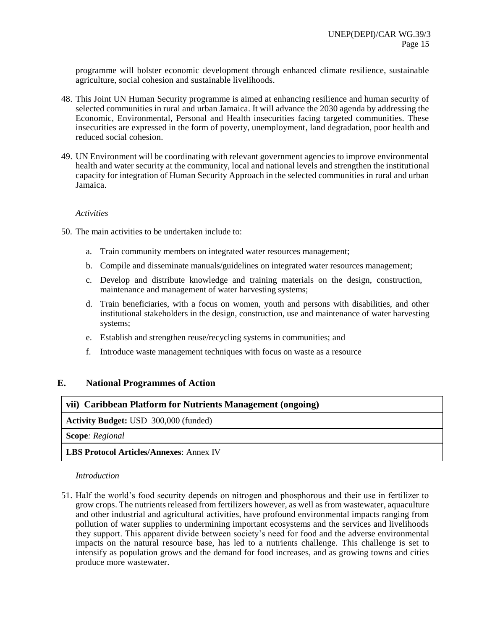programme will bolster economic development through enhanced climate resilience, sustainable agriculture, social cohesion and sustainable livelihoods.

- 48. This Joint UN Human Security programme is aimed at enhancing resilience and human security of selected communities in rural and urban Jamaica. It will advance the 2030 agenda by addressing the Economic, Environmental, Personal and Health insecurities facing targeted communities. These insecurities are expressed in the form of poverty, unemployment, land degradation, poor health and reduced social cohesion.
- 49. UN Environment will be coordinating with relevant government agencies to improve environmental health and water security at the community, local and national levels and strengthen the institutional capacity for integration of Human Security Approach in the selected communities in rural and urban Jamaica.

#### *Activities*

- 50. The main activities to be undertaken include to:
	- a. Train community members on integrated water resources management;
	- b. Compile and disseminate manuals/guidelines on integrated water resources management;
	- c. Develop and distribute knowledge and training materials on the design, construction, maintenance and management of water harvesting systems;
	- d. Train beneficiaries, with a focus on women, youth and persons with disabilities, and other institutional stakeholders in the design, construction, use and maintenance of water harvesting systems;
	- e. Establish and strengthen reuse/recycling systems in communities; and
	- f. Introduce waste management techniques with focus on waste as a resource

#### **E. National Programmes of Action**

| vii) Caribbean Platform for Nutrients Management (ongoing) |  |  |
|------------------------------------------------------------|--|--|
| <b>Activity Budget:</b> USD 300,000 (funded)               |  |  |
| <b>Scope:</b> Regional                                     |  |  |
| <b>LBS Protocol Articles/Annexes: Annex IV</b>             |  |  |

*Introduction*

51. Half the world's food security depends on nitrogen and phosphorous and their use in fertilizer to grow crops. The nutrients released from fertilizers however, as well as from wastewater, aquaculture and other industrial and agricultural activities, have profound environmental impacts ranging from pollution of water supplies to undermining important ecosystems and the services and livelihoods they support. This apparent divide between society's need for food and the adverse environmental impacts on the natural resource base, has led to a nutrients challenge. This challenge is set to intensify as population grows and the demand for food increases, and as growing towns and cities produce more wastewater.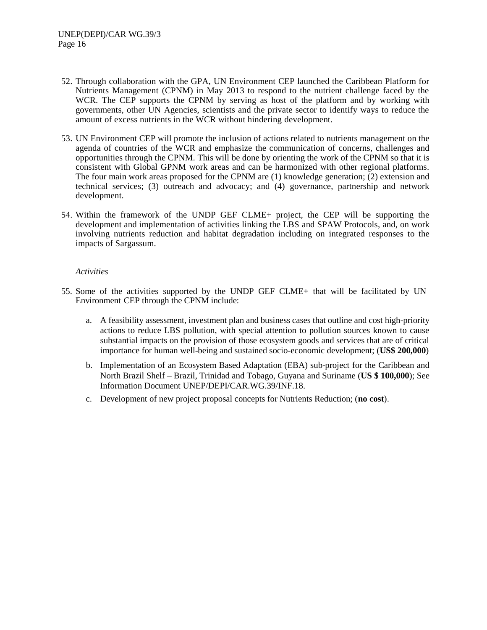- 52. Through collaboration with the GPA, UN Environment CEP launched the Caribbean Platform for Nutrients Management (CPNM) in May 2013 to respond to the nutrient challenge faced by the WCR. The CEP supports the CPNM by serving as host of the platform and by working with governments, other UN Agencies, scientists and the private sector to identify ways to reduce the amount of excess nutrients in the WCR without hindering development.
- 53. UN Environment CEP will promote the inclusion of actions related to nutrients management on the agenda of countries of the WCR and emphasize the communication of concerns, challenges and opportunities through the CPNM. This will be done by orienting the work of the CPNM so that it is consistent with Global GPNM work areas and can be harmonized with other regional platforms. The four main work areas proposed for the CPNM are (1) knowledge generation; (2) extension and technical services; (3) outreach and advocacy; and (4) governance, partnership and network development.
- 54. Within the framework of the UNDP GEF CLME+ project, the CEP will be supporting the development and implementation of activities linking the LBS and SPAW Protocols, and, on work involving nutrients reduction and habitat degradation including on integrated responses to the impacts of Sargassum.

- 55. Some of the activities supported by the UNDP GEF CLME+ that will be facilitated by UN Environment CEP through the CPNM include:
	- a. A feasibility assessment, investment plan and business cases that outline and cost high-priority actions to reduce LBS pollution, with special attention to pollution sources known to cause substantial impacts on the provision of those ecosystem goods and services that are of critical importance for human well-being and sustained socio-economic development; (**US\$ 200,000**)
	- b. Implementation of an Ecosystem Based Adaptation (EBA) sub-project for the Caribbean and North Brazil Shelf – Brazil, Trinidad and Tobago, Guyana and Suriname (**US \$ 100,000**); See Information Document UNEP/DEPI/CAR.WG.39/INF.18.
	- c. Development of new project proposal concepts for Nutrients Reduction; (**no cost**).